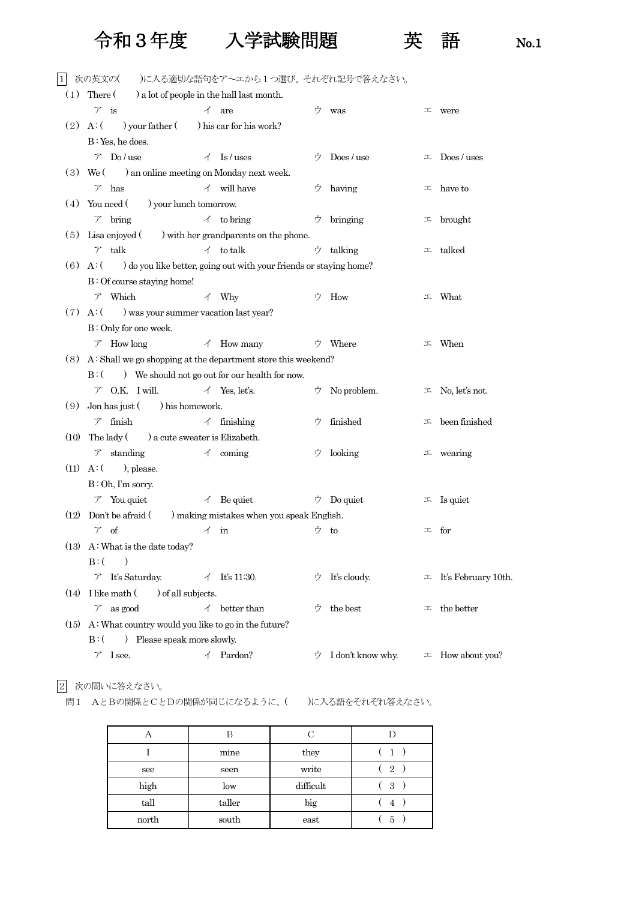## 令和3年度 入学試験問題 英 語 No.1

| $\mathbf{1}$ | 次の英文の( )に入る適切な語句をア〜エから1つ選び、それぞれ記号で答えなさい。                      |                                                                    |   |                                |   |                        |
|--------------|---------------------------------------------------------------|--------------------------------------------------------------------|---|--------------------------------|---|------------------------|
| (1)          | There $($ $)$ a lot of people in the hall last month.         |                                                                    |   |                                |   |                        |
|              | $\mathcal{T}$<br>$\frac{1}{18}$                               | $\angle$ are                                                       | ウ | was                            | 工 | were                   |
| (2)          | $A:$ (<br>) your father $($                                   | ) his car for his work?                                            |   |                                |   |                        |
|              | B: Yes, he does.                                              |                                                                    |   |                                |   |                        |
|              | $\nabla$ Do/use                                               | Is/uses<br>イ                                                       | ウ | Does/use                       | 工 | Does/uses              |
| (3)          | We (                                                          | ) an online meeting on Monday next week.                           |   |                                |   |                        |
|              | has<br>$\mathcal{T}$                                          | $\angle$ will have                                                 | ワ | having                         | 工 | have to                |
| (4)          | You need () your lunch tomorrow.                              |                                                                    |   |                                |   |                        |
|              | $\nabla$ bring                                                | $\measuredangle$ to bring                                          | ウ | bringing                       | 工 | brought                |
| (5)          | Lisa enjoyed $($ ) with her grandparents on the phone.        |                                                                    |   |                                |   |                        |
|              | $\nabla$ talk                                                 | $\checkmark$ to talk                                               | ウ | talking                        | 工 | talked                 |
| (6)          | $A:$ (                                                        | ) do you like better, going out with your friends or staying home? |   |                                |   |                        |
|              | $B:$ Of course staying home!                                  |                                                                    |   |                                |   |                        |
|              | Which<br>$\mathcal T$                                         | $\measuredangle$ Why                                               | ウ | How                            | 工 | What                   |
| (7)          | ) was your summer vacation last year?<br>$A:$ (               |                                                                    |   |                                |   |                        |
|              | B: Only for one week.                                         |                                                                    |   |                                |   |                        |
|              | How long<br>$\mathcal{T}$                                     | How many<br>$\overline{\mathcal{A}}$                               | ワ | Where                          | 工 | When                   |
| (8)          | A: Shall we go shopping at the department store this weekend? |                                                                    |   |                                |   |                        |
|              | $B:$ (                                                        | ) We should not go out for our health for now.                     |   |                                |   |                        |
|              | O.K. I will.<br>$\mathcal T$                                  | $\checkmark$ Yes, let's.                                           | ウ | No problem.                    | 工 | No, let's not.         |
| (9)          | Jon has just (<br>his homework.                               |                                                                    |   |                                |   |                        |
|              | finish<br>$\mathcal{T}$                                       | finishing<br>$\overline{\mathcal{A}}$                              | ウ | finished                       | 工 | been finished          |
| (10)         | The lady $($ $)$ a cute sweater is Elizabeth.                 |                                                                    |   |                                |   |                        |
|              | standing<br>Τ                                                 | イー<br>coming                                                       | ウ | looking                        | 工 | wearing                |
| (11)         | $A:$ (<br>$)$ , please.                                       |                                                                    |   |                                |   |                        |
|              | $B:Oh, I'm$ sorry.                                            |                                                                    |   |                                |   |                        |
|              | $7$ You quiet                                                 | $\angle$ Be quiet                                                  |   | $\dot{\triangledown}$ Do quiet |   | $\perp$ Is quiet       |
| (12)         | Don't be afraid (                                             | ) making mistakes when you speak English.                          |   |                                |   |                        |
|              | ${\mathcal T}$ of                                             | $\angle$ in                                                        | ウ | to                             | 工 | for                    |
| (13)         | A: What is the date today?                                    |                                                                    |   |                                |   |                        |
|              | $B:$ (<br>$\lambda$                                           |                                                                    |   |                                |   |                        |
|              | It's Saturday.<br>$\mathcal{T}$                               | It's 11:30.<br>$\overline{\mathcal{A}}$                            | ワ | It's cloudy.                   | 工 | It's February 10th.    |
| (14)         | I like math (<br>of all subjects.                             |                                                                    |   |                                |   |                        |
|              | $\nabla$ as good                                              | better than<br>$\Lambda$                                           | ウ | the best                       | 工 | the better             |
| (15)         | A: What country would you like to go in the future?           |                                                                    |   |                                |   |                        |
|              | ) Please speak more slowly.<br>$B:$ (                         |                                                                    |   |                                |   |                        |
|              | I see.<br>$\mathcal{T}$                                       | Pardon?<br>イ                                                       | ワ | I don't know why.              |   | $\perp$ How about you? |
|              |                                                               |                                                                    |   |                                |   |                        |

2 次の問いに答えなさい。

問1 AとBの関係とCとDの関係が同じになるように、( )に入る語をそれぞれ答えなさい。

|       | В      | C         |                  |
|-------|--------|-----------|------------------|
|       | mine   | they      | (1)              |
| see   | seen   | write     | $\boldsymbol{2}$ |
| high  | low    | difficult | 3                |
| tall  | taller | big       | 4                |
| north | south  | east      | 5                |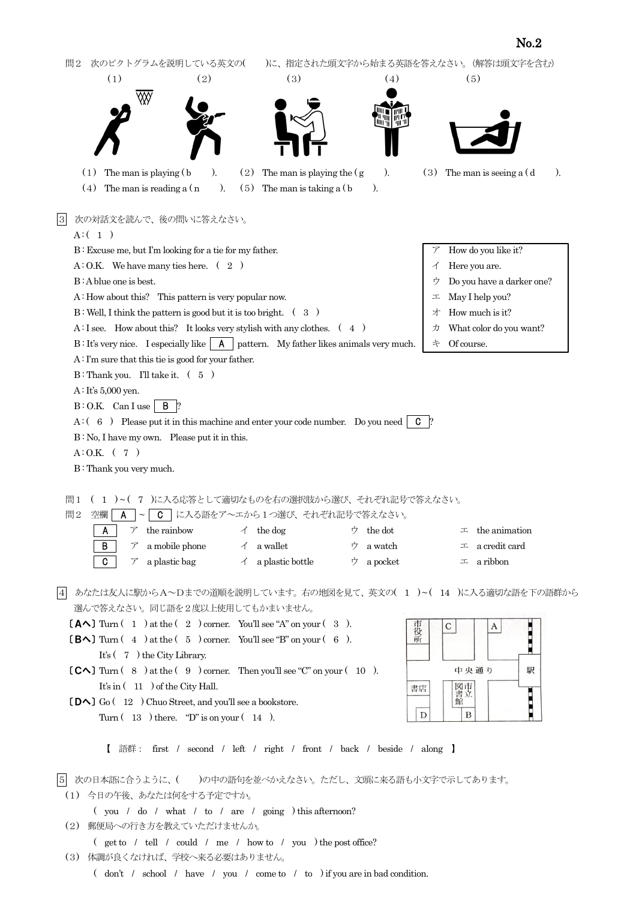問2 次のピクトグラムを説明している英文の()に、指定された頭文字から始まる英語を答えなさい。(解答は頭文字を含む) (1)  $(2)$   $(3)$   $(4)$   $(5)$ ₩ (1) The man is playing (b ). (2) The man is playing the  $(g \t)$ . (3) The man is seeing a (d). (4) The man is reading a  $(n)$ . (5) The man is taking a  $(b)$ . 3 次の対話文を読んで、後の問いに答えなさい。  $A: ( 1 )$ B: Excuse me, but I'm looking for a tie for my father.  $\mathbb{R}^2$  How do you like it? A: O.K. We have many ties here.  $(2)$ B: A blue one is best.  $\Box$  Do you have a darker one? A: How about this? This pattern is very popular now.  $\Box$   $\Box$  May I help you? B: Well, I think the pattern is good but it is too bright.  $(3)$   $\pi$  How much is it? A: I see. How about this? It looks very stylish with any clothes.  $(4)$   $\pi$  What color do you want? B : It's very nice. I especially like A pattern. My father likes animals very much. キ Of course. A : I'm sure that this tie is good for your father.  $B:$  Thank you. I'll take it.  $(5)$  A : It's 5,000 yen.  $B:$  O.K. Can I use | B ? A : ( 6 ) Please put it in this machine and enter your code number. Do you need C ? B : No, I have my own. Please put it in this.  $A: O.K.$  ( 7 ) B : Thank you very much. 問1 ( 1 ) ~ ( 7 )に入る応答として適切なものを右の選択肢から選び、それぞれ記号で答えなさい。 問2 空欄 | A |~ | C | に入る語をア~エから1つ選び、それぞれ記号で答えなさい。 A  $\mathcal{F}$  the rainbow  $\uparrow$  the dog  $\uparrow$  the dot  $\perp$  the animation B  $\bar{z}$  a mobile phone  $\bar{z}$  a wallet  $\bar{z}$  a watch  $\bar{z}$  a credit card C  $\Box$  T a plastic bag  $\Box$  A a plastic bottle  $\Box$  a pocket  $\Box$  a ribbon |4| あなたは友人に駅からA~Dまでの道順を説明しています。右の地図を見て、英文の( 1 )∼( 14 )に入る適切な語を下の語群から 選んで答えなさい。同じ語を2度以上使用してもかまいません。  $[AA]$  Turn  $(1)$  at the  $(2)$  corner. You'll see "A" on your  $(3)$ . j  $\mathbf C$ A 役所  $[\mathbf{B}\boldsymbol{\wedge}]$  Turn ( 4 ) at the ( 5 ) corner. You'll see "B" on your ( 6 ). It's ( 7 ) the City Library.  $[CA]$  Turn ( 8 ) at the ( 9 ) corner. Then you'll see "C" on your ( 10 ). 中央通り 别 図市 It's in  $(11)$  of the City Hall. 書店 館 〔Dへ〕Go ( 12 ) Chuo Street, and you'll see a bookstore.  $\mathbf D$  $\, {\bf B}$ Turn  $(13)$  there. "D" is on your  $(14)$ . 【 語群: first / second / left / right / front / back / beside / along 】 |5| 次の日本語に合うように、( )の中の語句を並べかえなさい。ただし、文頭に来る語も小文字で示してあります。 (1) 今日の午後、あなたは何をする予定ですか。 ( you / do / what / to / are / going ) this afternoon? (2) 郵便局への行き方を教えていただけませんか。 ( get to / tell / could / me / how to / you ) the post office? (3) 体調が良くなければ、学校へ来る必要はありません。

( don't / school / have / you / come to / to ) if you are in bad condition.

 $\rm No.2$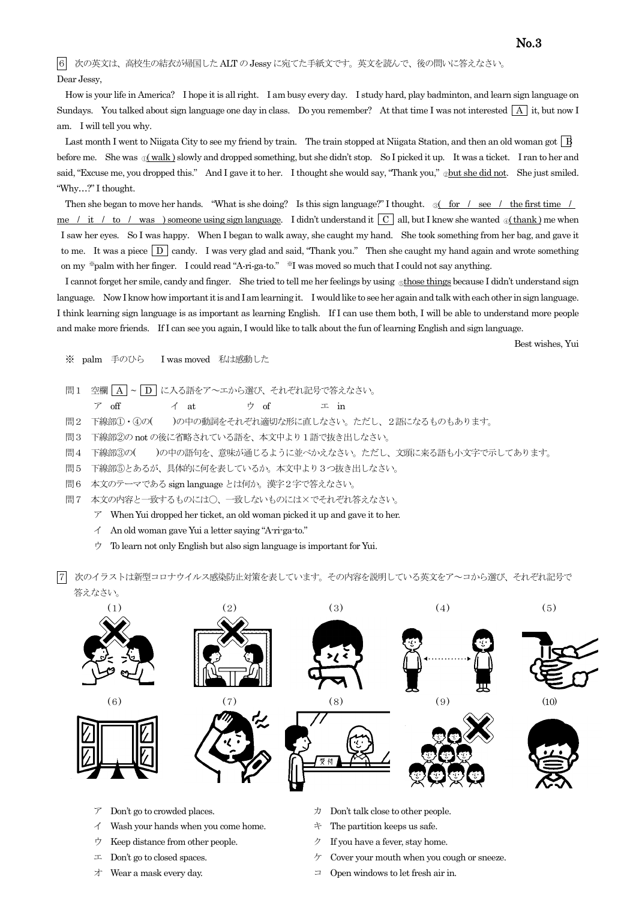6 次の英文は、高校生の結衣が帰国したALT のJessy に宛てた手紙文です。英文を読んで、後の問いに答えなさい。 Dear Jessy,

 How is your life in America? I hope it is all right. I am busy every day. I study hard, play badminton, and learn sign language on Sundays. You talked about sign language one day in class. Do you remember? At that time I was not interested  $|A|$  it, but now I am. I will tell you why.

Last month I went to Niigata City to see my friend by train. The train stopped at Niigata Station, and then an old woman got  $\boxed{B}$ before me. She was  $\mathbb{Q}(\text{walk})$  slowly and dropped something, but she didn't stop. So I picked it up. It was a ticket. I ran to her and said, "Excuse me, you dropped this." And I gave it to her. I thought she would say, "Thank you," <u>zbut she did not</u>. She just smiled. "Why…?" I thought.

Then she began to move her hands. "What is she doing? Is this sign language?" I thought.  $\frac{1}{\infty}$  for  $\ell$  see  $\ell$  the first time  $\ell$ me / it / to / was ) someone using sign language. I didn't understand it  $\boxed{C}$  all, but I knew she wanted  $\mathcal{A}$  (thank) me when I saw her eyes. So I was happy. When I began to walk away, she caught my hand. She took something from her bag, and gave it to me. It was a piece  $\boxed{D}$  candy. I was very glad and said, "Thank you." Then she caught my hand again and wrote something on my ※palm with her finger. I could read "A-ri-ga-to." ※I was moved so much that I could not say anything.

I cannot forget her smile, candy and finger. She tried to tell me her feelings by using <sub>©</sub>those things because I didn't understand sign language. Now I know how important it is and I am learning it. I would like to see her again and talk with each other in sign language. I think learning sign language is as important as learning English. If I can use them both, I will be able to understand more people and make more friends. If I can see you again, I would like to talk about the fun of learning English and sign language.

Best wishes, Yui

※ palm 手のひら I was moved 私は感動した

- 問1 空欄 A ~ D に入る語をア~エから選び、それぞれ記号で答えなさい。
	- ア off イ at ウ of エ in
- 問2 下線部①・④の( )の中の動詞をそれぞれ適切な形に直しなさい。ただし、2語になるものもあります。
- 問3 下線部②のnot の後に省略されている語を、本文中より1語で抜き出しなさい。
- 問4 下線部③の( )の中の語句を、意味が通じるように並べかえなさい。ただし、文頭に来る語も小文字で示してあります。
- 問5 下線部⑤とあるが、具体的に何を表しているか。本文中より3つ抜き出しなさい。
- 問6 本文のテーマであるsign language とは何か。漢字2字で答えなさい。
- 問7 本文の内容と一致するものには〇、一致しないものには×でそれぞれ答えなさい。
	- $\mathcal V$  When Yui dropped her ticket, an old woman picked it up and gave it to her.
	- イ An old woman gave Yui a letter saying "A-ri-ga-to."
	- $\dot{\triangledown}$  To learn not only English but also sign language is important for Yui.
- 7 次のイラストは新型コロナウイルス感染防止対策を表しています。その内容を説明している英文をア~コから選び、それぞれ記号で 答えなさい。



- 
- $\uparrow$  Wash your hands when you come home.  $\uparrow$  The partition keeps us safe.
- $\dot{\mathcal{P}}$  Keep distance from other people.  $\dot{\mathcal{P}}$  If you have a fever, stay home.
- 
- 
- $\mathcal{T}$  Don't go to crowded places.  $\qquad \qquad \mathcal{D}$  Don't talk close to other people.
	-
	-
- $\pm$  Don't go to closed spaces.  $\qquad \qquad \rightarrow$  Cover your mouth when you cough or sneeze.
- $\pm$  Wear a mask every day.  $\pm$  Open windows to let fresh air in.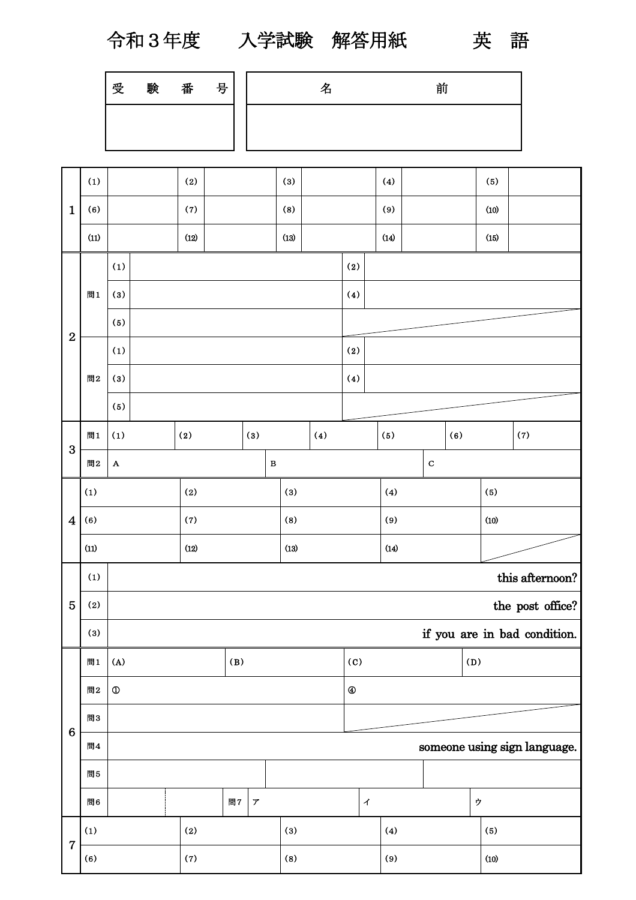令和3年度 入学試験 解答用紙 英 語

| 験<br>受 | 番 | 号 | 名 | 前 |
|--------|---|---|---|---|
|        |   |   |   |   |

|                  | (1)        |                              |     |  | (2)  |                            |     | (3)                        |      |                              |     |     | (4)  |      |             |     | (5)  |      |     |  |
|------------------|------------|------------------------------|-----|--|------|----------------------------|-----|----------------------------|------|------------------------------|-----|-----|------|------|-------------|-----|------|------|-----|--|
| $\mathbf{1}$     | (6)        |                              |     |  | (7)  |                            |     |                            | (8)  |                              |     |     | (9)  |      |             |     |      | (10) |     |  |
|                  | (11)       |                              |     |  | (12) |                            |     |                            | (13) |                              |     |     | (14) |      |             |     | (15) |      |     |  |
|                  |            | (1)                          |     |  |      |                            |     |                            |      |                              | (2) |     |      |      |             |     |      |      |     |  |
|                  | 問1         | (3)                          |     |  |      |                            |     |                            |      |                              |     | (4) |      |      |             |     |      |      |     |  |
| $\overline{2}$   |            | (5)                          |     |  |      |                            |     |                            |      |                              |     |     |      |      |             |     |      |      |     |  |
|                  |            | (1)                          |     |  |      |                            |     |                            |      |                              |     |     |      |      |             |     |      |      |     |  |
|                  | 間 $2$      | (3)                          |     |  |      |                            |     |                            |      |                              | (4) |     |      |      |             |     |      |      |     |  |
|                  |            | (5)                          |     |  |      |                            |     |                            |      |                              |     |     |      |      |             |     |      |      |     |  |
|                  | 問1         | (1)                          | (2) |  |      |                            | (3) |                            |      | (4)                          |     |     | (5)  |      |             | (6) |      |      | (7) |  |
| 3                | 問2         | $\mathbf A$                  |     |  |      |                            |     | $\, {\bf B}$               |      |                              |     |     |      |      | $\mathbf C$ |     |      |      |     |  |
|                  | (1)        | (2)                          |     |  |      |                            |     | (3)                        |      |                              |     |     | (4)  |      |             |     | (5)  |      |     |  |
| $\boldsymbol{4}$ | (6)        |                              |     |  | (7)  |                            |     | (8)                        |      |                              | (9) |     |      |      | (10)        |     |      |      |     |  |
|                  | (11)       |                              |     |  | (12) |                            |     | (13)                       |      |                              |     |     | (14) |      |             |     |      |      |     |  |
|                  | (1)        | this afternoon?              |     |  |      |                            |     |                            |      |                              |     |     |      |      |             |     |      |      |     |  |
| $\overline{5}$   | (2)        | the post office?             |     |  |      |                            |     |                            |      |                              |     |     |      |      |             |     |      |      |     |  |
|                  | (3)        | if you are in bad condition. |     |  |      |                            |     |                            |      |                              |     |     |      |      |             |     |      |      |     |  |
|                  | 問1         | (A)<br>(B)                   |     |  |      |                            |     | $\left( \mathrm{c}\right)$ |      |                              |     |     |      |      | (D)         |     |      |      |     |  |
|                  | 問2         | $\textcircled{1}$            |     |  |      |                            |     |                            |      | $\circledast$                |     |     |      |      |             |     |      |      |     |  |
|                  | 間3         |                              |     |  |      |                            |     |                            |      |                              |     |     |      |      |             |     |      |      |     |  |
| $6\phantom{1}6$  | 問4         |                              |     |  |      |                            |     |                            |      | someone using sign language. |     |     |      |      |             |     |      |      |     |  |
|                  | 問5         |                              |     |  |      |                            |     |                            |      |                              |     |     |      |      |             |     |      |      |     |  |
|                  | 間6         |                              |     |  | 間7   | $\boldsymbol{\mathcal{T}}$ |     |                            |      | $\boldsymbol{\lambda}$       |     |     |      | ゥ    |             |     |      |      |     |  |
|                  | (1)        |                              |     |  | (2)  |                            |     |                            | (3)  |                              | (4) |     |      | (5)  |             |     |      |      |     |  |
| $\overline{7}$   | (7)<br>(6) |                              |     |  |      | (8)                        |     |                            |      | (9)                          |     |     |      | (10) |             |     |      |      |     |  |